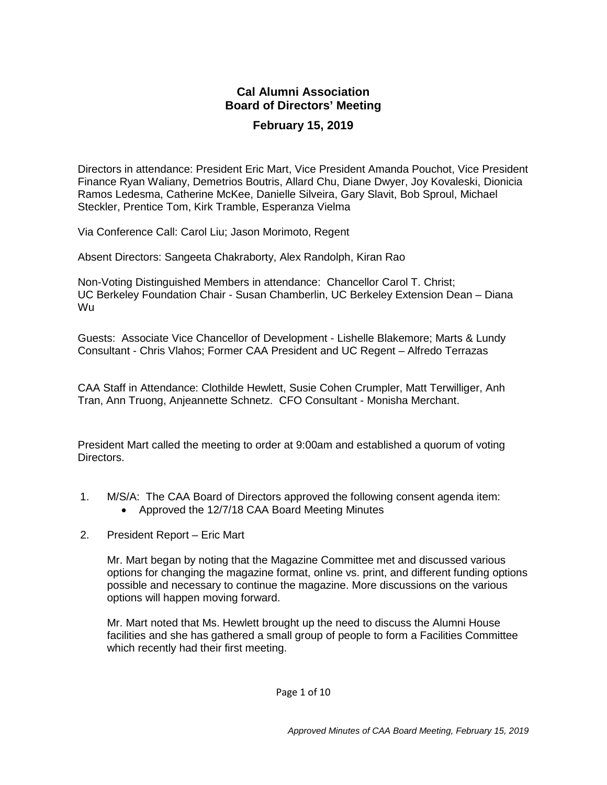# **Cal Alumni Association Board of Directors' Meeting February 15, 2019**

Directors in attendance: President Eric Mart, Vice President Amanda Pouchot, Vice President Finance Ryan Waliany, Demetrios Boutris, Allard Chu, Diane Dwyer, Joy Kovaleski, Dionicia Ramos Ledesma, Catherine McKee, Danielle Silveira, Gary Slavit, Bob Sproul, Michael Steckler, Prentice Tom, Kirk Tramble, Esperanza Vielma

Via Conference Call: Carol Liu; Jason Morimoto, Regent

Absent Directors: Sangeeta Chakraborty, Alex Randolph, Kiran Rao

Non-Voting Distinguished Members in attendance: Chancellor Carol T. Christ; UC Berkeley Foundation Chair - Susan Chamberlin, UC Berkeley Extension Dean – Diana Wu

Guests: Associate Vice Chancellor of Development - Lishelle Blakemore; Marts & Lundy Consultant - Chris Vlahos; Former CAA President and UC Regent – Alfredo Terrazas

CAA Staff in Attendance: Clothilde Hewlett, Susie Cohen Crumpler, Matt Terwilliger, Anh Tran, Ann Truong, Anjeannette Schnetz. CFO Consultant - Monisha Merchant.

President Mart called the meeting to order at 9:00am and established a quorum of voting Directors.

- 1. M/S/A: The CAA Board of Directors approved the following consent agenda item:
	- Approved the 12/7/18 CAA Board Meeting Minutes
- 2. President Report Eric Mart

Mr. Mart began by noting that the Magazine Committee met and discussed various options for changing the magazine format, online vs. print, and different funding options possible and necessary to continue the magazine. More discussions on the various options will happen moving forward.

Mr. Mart noted that Ms. Hewlett brought up the need to discuss the Alumni House facilities and she has gathered a small group of people to form a Facilities Committee which recently had their first meeting.

Page 1 of 10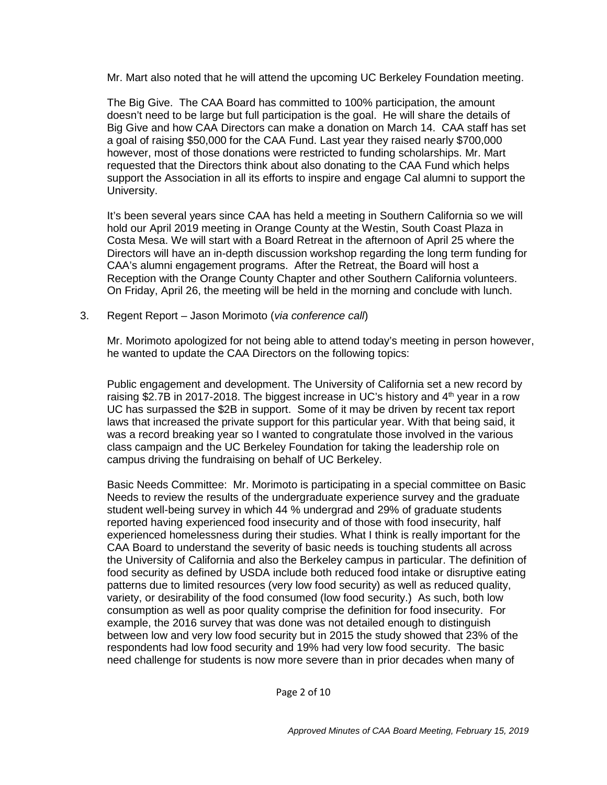Mr. Mart also noted that he will attend the upcoming UC Berkeley Foundation meeting.

The Big Give. The CAA Board has committed to 100% participation, the amount doesn't need to be large but full participation is the goal. He will share the details of Big Give and how CAA Directors can make a donation on March 14. CAA staff has set a goal of raising \$50,000 for the CAA Fund. Last year they raised nearly \$700,000 however, most of those donations were restricted to funding scholarships. Mr. Mart requested that the Directors think about also donating to the CAA Fund which helps support the Association in all its efforts to inspire and engage Cal alumni to support the University.

It's been several years since CAA has held a meeting in Southern California so we will hold our April 2019 meeting in Orange County at the Westin, South Coast Plaza in Costa Mesa. We will start with a Board Retreat in the afternoon of April 25 where the Directors will have an in-depth discussion workshop regarding the long term funding for CAA's alumni engagement programs. After the Retreat, the Board will host a Reception with the Orange County Chapter and other Southern California volunteers. On Friday, April 26, the meeting will be held in the morning and conclude with lunch.

3. Regent Report – Jason Morimoto (*via conference call*)

Mr. Morimoto apologized for not being able to attend today's meeting in person however, he wanted to update the CAA Directors on the following topics:

Public engagement and development. The University of California set a new record by raising \$2.7B in 2017-2018. The biggest increase in UC's history and  $4<sup>th</sup>$  year in a row UC has surpassed the \$2B in support. Some of it may be driven by recent tax report laws that increased the private support for this particular year. With that being said, it was a record breaking year so I wanted to congratulate those involved in the various class campaign and the UC Berkeley Foundation for taking the leadership role on campus driving the fundraising on behalf of UC Berkeley.

Basic Needs Committee: Mr. Morimoto is participating in a special committee on Basic Needs to review the results of the undergraduate experience survey and the graduate student well-being survey in which 44 % undergrad and 29% of graduate students reported having experienced food insecurity and of those with food insecurity, half experienced homelessness during their studies. What I think is really important for the CAA Board to understand the severity of basic needs is touching students all across the University of California and also the Berkeley campus in particular. The definition of food security as defined by USDA include both reduced food intake or disruptive eating patterns due to limited resources (very low food security) as well as reduced quality, variety, or desirability of the food consumed (low food security.) As such, both low consumption as well as poor quality comprise the definition for food insecurity. For example, the 2016 survey that was done was not detailed enough to distinguish between low and very low food security but in 2015 the study showed that 23% of the respondents had low food security and 19% had very low food security. The basic need challenge for students is now more severe than in prior decades when many of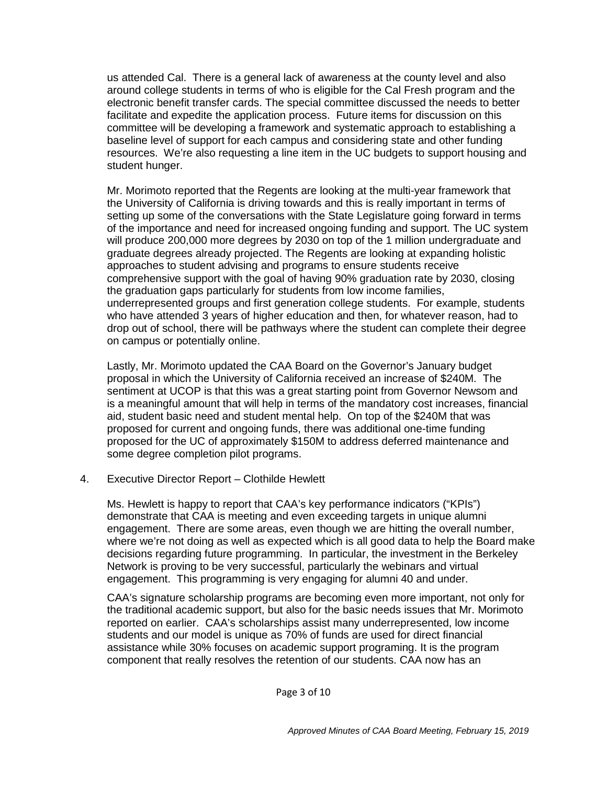us attended Cal. There is a general lack of awareness at the county level and also around college students in terms of who is eligible for the Cal Fresh program and the electronic benefit transfer cards. The special committee discussed the needs to better facilitate and expedite the application process. Future items for discussion on this committee will be developing a framework and systematic approach to establishing a baseline level of support for each campus and considering state and other funding resources. We're also requesting a line item in the UC budgets to support housing and student hunger.

Mr. Morimoto reported that the Regents are looking at the multi-year framework that the University of California is driving towards and this is really important in terms of setting up some of the conversations with the State Legislature going forward in terms of the importance and need for increased ongoing funding and support. The UC system will produce 200,000 more degrees by 2030 on top of the 1 million undergraduate and graduate degrees already projected. The Regents are looking at expanding holistic approaches to student advising and programs to ensure students receive comprehensive support with the goal of having 90% graduation rate by 2030, closing the graduation gaps particularly for students from low income families, underrepresented groups and first generation college students. For example, students who have attended 3 years of higher education and then, for whatever reason, had to drop out of school, there will be pathways where the student can complete their degree on campus or potentially online.

Lastly, Mr. Morimoto updated the CAA Board on the Governor's January budget proposal in which the University of California received an increase of \$240M. The sentiment at UCOP is that this was a great starting point from Governor Newsom and is a meaningful amount that will help in terms of the mandatory cost increases, financial aid, student basic need and student mental help. On top of the \$240M that was proposed for current and ongoing funds, there was additional one-time funding proposed for the UC of approximately \$150M to address deferred maintenance and some degree completion pilot programs.

4. Executive Director Report – Clothilde Hewlett

Ms. Hewlett is happy to report that CAA's key performance indicators ("KPIs") demonstrate that CAA is meeting and even exceeding targets in unique alumni engagement. There are some areas, even though we are hitting the overall number, where we're not doing as well as expected which is all good data to help the Board make decisions regarding future programming. In particular, the investment in the Berkeley Network is proving to be very successful, particularly the webinars and virtual engagement. This programming is very engaging for alumni 40 and under.

CAA's signature scholarship programs are becoming even more important, not only for the traditional academic support, but also for the basic needs issues that Mr. Morimoto reported on earlier. CAA's scholarships assist many underrepresented, low income students and our model is unique as 70% of funds are used for direct financial assistance while 30% focuses on academic support programing. It is the program component that really resolves the retention of our students. CAA now has an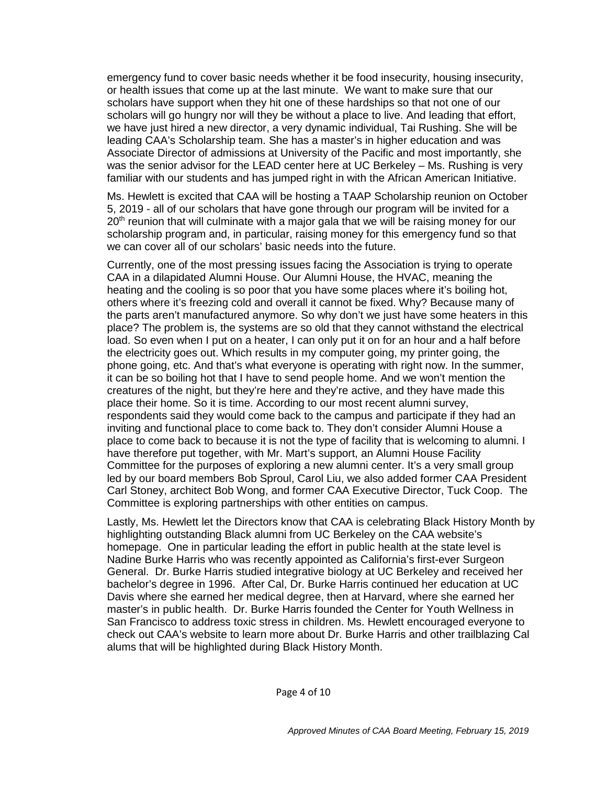emergency fund to cover basic needs whether it be food insecurity, housing insecurity, or health issues that come up at the last minute. We want to make sure that our scholars have support when they hit one of these hardships so that not one of our scholars will go hungry nor will they be without a place to live. And leading that effort, we have just hired a new director, a very dynamic individual, Tai Rushing. She will be leading CAA's Scholarship team. She has a master's in higher education and was Associate Director of admissions at University of the Pacific and most importantly, she was the senior advisor for the LEAD center here at UC Berkeley – Ms. Rushing is very familiar with our students and has jumped right in with the African American Initiative.

Ms. Hewlett is excited that CAA will be hosting a TAAP Scholarship reunion on October 5, 2019 - all of our scholars that have gone through our program will be invited for a 20<sup>th</sup> reunion that will culminate with a major gala that we will be raising money for our scholarship program and, in particular, raising money for this emergency fund so that we can cover all of our scholars' basic needs into the future.

Currently, one of the most pressing issues facing the Association is trying to operate CAA in a dilapidated Alumni House. Our Alumni House, the HVAC, meaning the heating and the cooling is so poor that you have some places where it's boiling hot, others where it's freezing cold and overall it cannot be fixed. Why? Because many of the parts aren't manufactured anymore. So why don't we just have some heaters in this place? The problem is, the systems are so old that they cannot withstand the electrical load. So even when I put on a heater, I can only put it on for an hour and a half before the electricity goes out. Which results in my computer going, my printer going, the phone going, etc. And that's what everyone is operating with right now. In the summer, it can be so boiling hot that I have to send people home. And we won't mention the creatures of the night, but they're here and they're active, and they have made this place their home. So it is time. According to our most recent alumni survey, respondents said they would come back to the campus and participate if they had an inviting and functional place to come back to. They don't consider Alumni House a place to come back to because it is not the type of facility that is welcoming to alumni. I have therefore put together, with Mr. Mart's support, an Alumni House Facility Committee for the purposes of exploring a new alumni center. It's a very small group led by our board members Bob Sproul, Carol Liu, we also added former CAA President Carl Stoney, architect Bob Wong, and former CAA Executive Director, Tuck Coop. The Committee is exploring partnerships with other entities on campus.

Lastly, Ms. Hewlett let the Directors know that CAA is celebrating Black History Month by highlighting outstanding Black alumni from UC Berkeley on the CAA website's homepage. One in particular leading the effort in public health at the state level is Nadine Burke Harris who was recently appointed as California's first-ever Surgeon General. Dr. Burke Harris studied integrative biology at UC Berkeley and received her bachelor's degree in 1996. After Cal, Dr. Burke Harris continued her education at UC Davis where she earned her medical degree, then at Harvard, where she earned her master's in public health. Dr. Burke Harris founded the Center for Youth Wellness in San Francisco to address toxic stress in children. Ms. Hewlett encouraged everyone to check out CAA's website to learn more about Dr. Burke Harris and other trailblazing Cal alums that will be highlighted during Black History Month.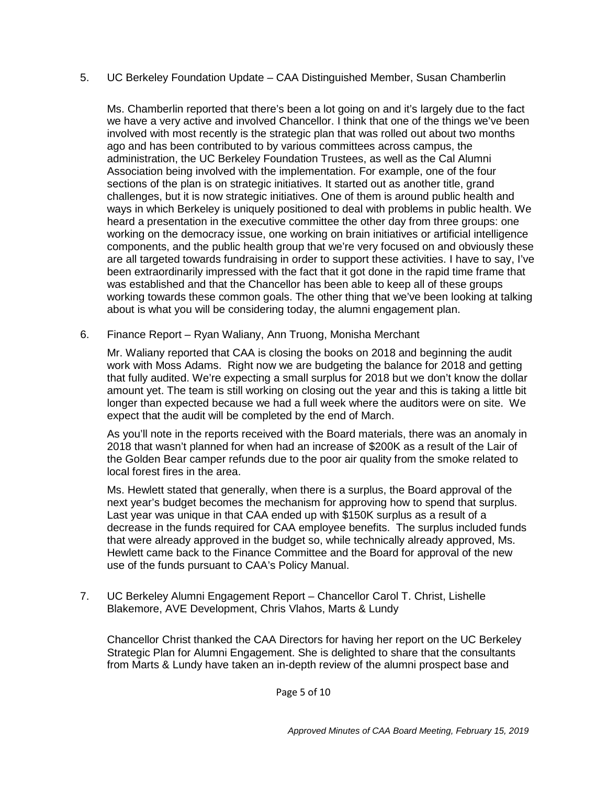## 5. UC Berkeley Foundation Update – CAA Distinguished Member, Susan Chamberlin

Ms. Chamberlin reported that there's been a lot going on and it's largely due to the fact we have a very active and involved Chancellor. I think that one of the things we've been involved with most recently is the strategic plan that was rolled out about two months ago and has been contributed to by various committees across campus, the administration, the UC Berkeley Foundation Trustees, as well as the Cal Alumni Association being involved with the implementation. For example, one of the four sections of the plan is on strategic initiatives. It started out as another title, grand challenges, but it is now strategic initiatives. One of them is around public health and ways in which Berkeley is uniquely positioned to deal with problems in public health. We heard a presentation in the executive committee the other day from three groups: one working on the democracy issue, one working on brain initiatives or artificial intelligence components, and the public health group that we're very focused on and obviously these are all targeted towards fundraising in order to support these activities. I have to say, I've been extraordinarily impressed with the fact that it got done in the rapid time frame that was established and that the Chancellor has been able to keep all of these groups working towards these common goals. The other thing that we've been looking at talking about is what you will be considering today, the alumni engagement plan.

6. Finance Report – Ryan Waliany, Ann Truong, Monisha Merchant

Mr. Waliany reported that CAA is closing the books on 2018 and beginning the audit work with Moss Adams. Right now we are budgeting the balance for 2018 and getting that fully audited. We're expecting a small surplus for 2018 but we don't know the dollar amount yet. The team is still working on closing out the year and this is taking a little bit longer than expected because we had a full week where the auditors were on site. We expect that the audit will be completed by the end of March.

As you'll note in the reports received with the Board materials, there was an anomaly in 2018 that wasn't planned for when had an increase of \$200K as a result of the Lair of the Golden Bear camper refunds due to the poor air quality from the smoke related to local forest fires in the area.

Ms. Hewlett stated that generally, when there is a surplus, the Board approval of the next year's budget becomes the mechanism for approving how to spend that surplus. Last year was unique in that CAA ended up with \$150K surplus as a result of a decrease in the funds required for CAA employee benefits. The surplus included funds that were already approved in the budget so, while technically already approved, Ms. Hewlett came back to the Finance Committee and the Board for approval of the new use of the funds pursuant to CAA's Policy Manual.

7. UC Berkeley Alumni Engagement Report – Chancellor Carol T. Christ, Lishelle Blakemore, AVE Development, Chris Vlahos, Marts & Lundy

Chancellor Christ thanked the CAA Directors for having her report on the UC Berkeley Strategic Plan for Alumni Engagement. She is delighted to share that the consultants from Marts & Lundy have taken an in-depth review of the alumni prospect base and

Page 5 of 10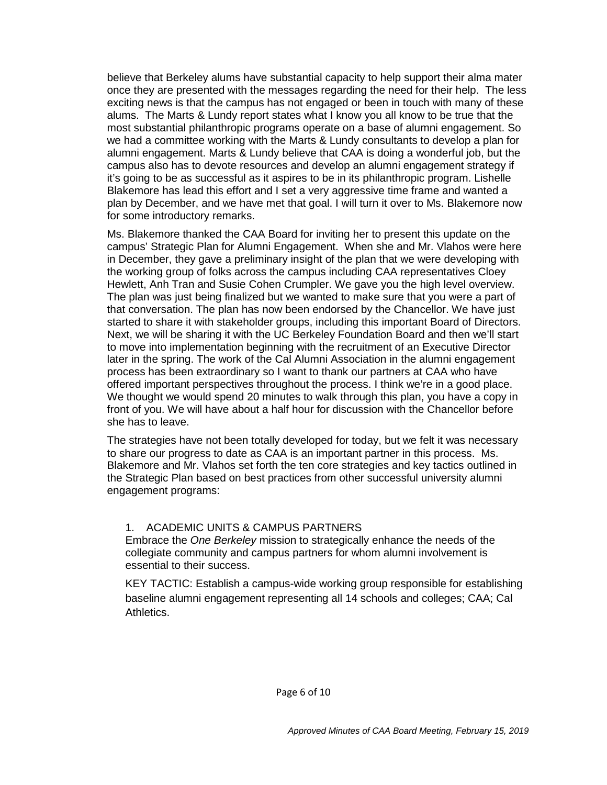believe that Berkeley alums have substantial capacity to help support their alma mater once they are presented with the messages regarding the need for their help. The less exciting news is that the campus has not engaged or been in touch with many of these alums. The Marts & Lundy report states what I know you all know to be true that the most substantial philanthropic programs operate on a base of alumni engagement. So we had a committee working with the Marts & Lundy consultants to develop a plan for alumni engagement. Marts & Lundy believe that CAA is doing a wonderful job, but the campus also has to devote resources and develop an alumni engagement strategy if it's going to be as successful as it aspires to be in its philanthropic program. Lishelle Blakemore has lead this effort and I set a very aggressive time frame and wanted a plan by December, and we have met that goal. I will turn it over to Ms. Blakemore now for some introductory remarks.

Ms. Blakemore thanked the CAA Board for inviting her to present this update on the campus' Strategic Plan for Alumni Engagement. When she and Mr. Vlahos were here in December, they gave a preliminary insight of the plan that we were developing with the working group of folks across the campus including CAA representatives Cloey Hewlett, Anh Tran and Susie Cohen Crumpler. We gave you the high level overview. The plan was just being finalized but we wanted to make sure that you were a part of that conversation. The plan has now been endorsed by the Chancellor. We have just started to share it with stakeholder groups, including this important Board of Directors. Next, we will be sharing it with the UC Berkeley Foundation Board and then we'll start to move into implementation beginning with the recruitment of an Executive Director later in the spring. The work of the Cal Alumni Association in the alumni engagement process has been extraordinary so I want to thank our partners at CAA who have offered important perspectives throughout the process. I think we're in a good place. We thought we would spend 20 minutes to walk through this plan, you have a copy in front of you. We will have about a half hour for discussion with the Chancellor before she has to leave.

The strategies have not been totally developed for today, but we felt it was necessary to share our progress to date as CAA is an important partner in this process. Ms. Blakemore and Mr. Vlahos set forth the ten core strategies and key tactics outlined in the Strategic Plan based on best practices from other successful university alumni engagement programs:

#### 1. ACADEMIC UNITS & CAMPUS PARTNERS

Embrace the *One Berkeley* mission to strategically enhance the needs of the collegiate community and campus partners for whom alumni involvement is essential to their success.

KEY TACTIC: Establish a campus-wide working group responsible for establishing baseline alumni engagement representing all 14 schools and colleges; CAA; Cal Athletics.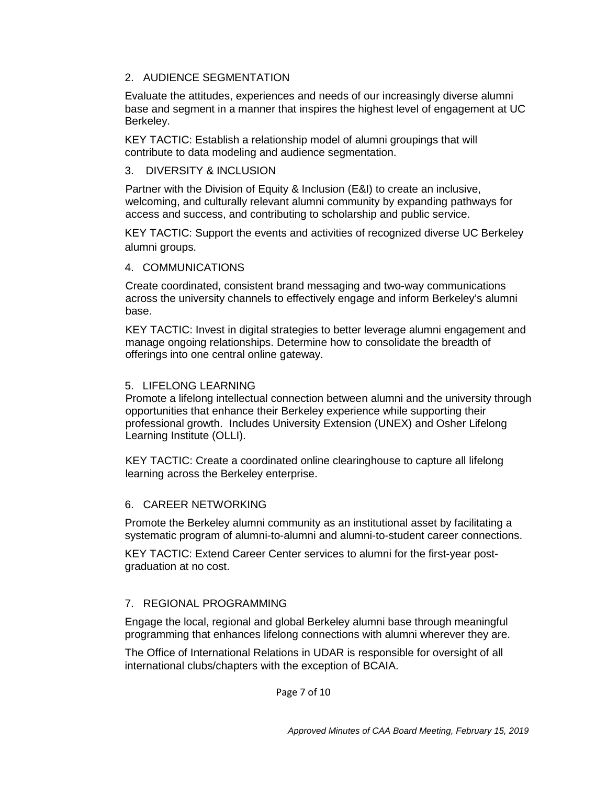## 2. AUDIENCE SEGMENTATION

Evaluate the attitudes, experiences and needs of our increasingly diverse alumni base and segment in a manner that inspires the highest level of engagement at UC Berkeley.

KEY TACTIC: Establish a relationship model of alumni groupings that will contribute to data modeling and audience segmentation.

#### 3. DIVERSITY & INCLUSION

Partner with the Division of Equity & Inclusion (E&I) to create an inclusive, welcoming, and culturally relevant alumni community by expanding pathways for access and success, and contributing to scholarship and public service.

KEY TACTIC: Support the events and activities of recognized diverse UC Berkeley alumni groups.

## 4. COMMUNICATIONS

Create coordinated, consistent brand messaging and two-way communications across the university channels to effectively engage and inform Berkeley's alumni base.

KEY TACTIC: Invest in digital strategies to better leverage alumni engagement and manage ongoing relationships. Determine how to consolidate the breadth of offerings into one central online gateway.

#### 5. LIFELONG LEARNING

Promote a lifelong intellectual connection between alumni and the university through opportunities that enhance their Berkeley experience while supporting their professional growth. Includes University Extension (UNEX) and Osher Lifelong Learning Institute (OLLI).

KEY TACTIC: Create a coordinated online clearinghouse to capture all lifelong learning across the Berkeley enterprise.

## 6. CAREER NETWORKING

Promote the Berkeley alumni community as an institutional asset by facilitating a systematic program of alumni-to-alumni and alumni-to-student career connections.

KEY TACTIC: Extend Career Center services to alumni for the first-year postgraduation at no cost.

## 7. REGIONAL PROGRAMMING

Engage the local, regional and global Berkeley alumni base through meaningful programming that enhances lifelong connections with alumni wherever they are.

The Office of International Relations in UDAR is responsible for oversight of all international clubs/chapters with the exception of BCAIA.

Page 7 of 10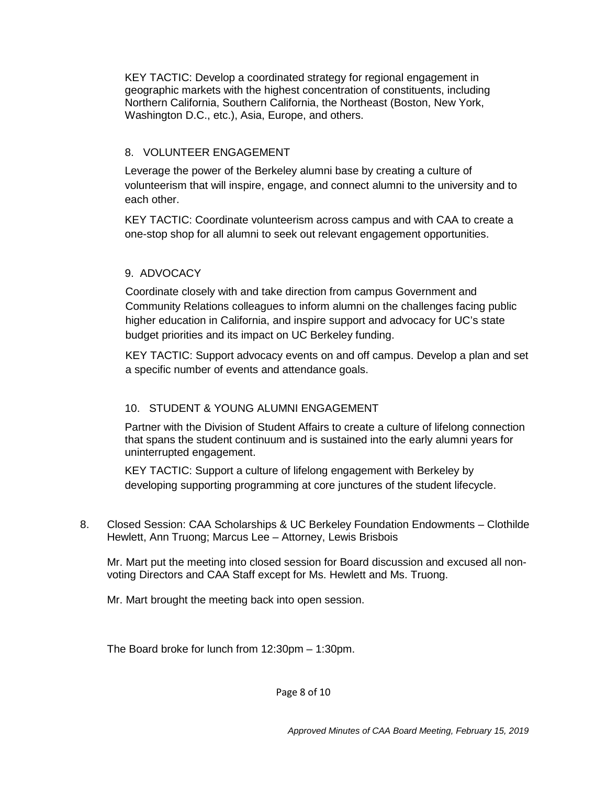KEY TACTIC: Develop a coordinated strategy for regional engagement in geographic markets with the highest concentration of constituents, including Northern California, Southern California, the Northeast (Boston, New York, Washington D.C., etc.), Asia, Europe, and others.

# 8. VOLUNTEER ENGAGEMENT

Leverage the power of the Berkeley alumni base by creating a culture of volunteerism that will inspire, engage, and connect alumni to the university and to each other.

KEY TACTIC: Coordinate volunteerism across campus and with CAA to create a one-stop shop for all alumni to seek out relevant engagement opportunities.

# 9. ADVOCACY

Coordinate closely with and take direction from campus Government and Community Relations colleagues to inform alumni on the challenges facing public higher education in California, and inspire support and advocacy for UC's state budget priorities and its impact on UC Berkeley funding.

KEY TACTIC: Support advocacy events on and off campus. Develop a plan and set a specific number of events and attendance goals.

# 10. STUDENT & YOUNG ALUMNI ENGAGEMENT

Partner with the Division of Student Affairs to create a culture of lifelong connection that spans the student continuum and is sustained into the early alumni years for uninterrupted engagement.

KEY TACTIC: Support a culture of lifelong engagement with Berkeley by developing supporting programming at core junctures of the student lifecycle.

8. Closed Session: CAA Scholarships & UC Berkeley Foundation Endowments – Clothilde Hewlett, Ann Truong; Marcus Lee – Attorney, Lewis Brisbois

Mr. Mart put the meeting into closed session for Board discussion and excused all nonvoting Directors and CAA Staff except for Ms. Hewlett and Ms. Truong.

Mr. Mart brought the meeting back into open session.

The Board broke for lunch from 12:30pm – 1:30pm.

Page 8 of 10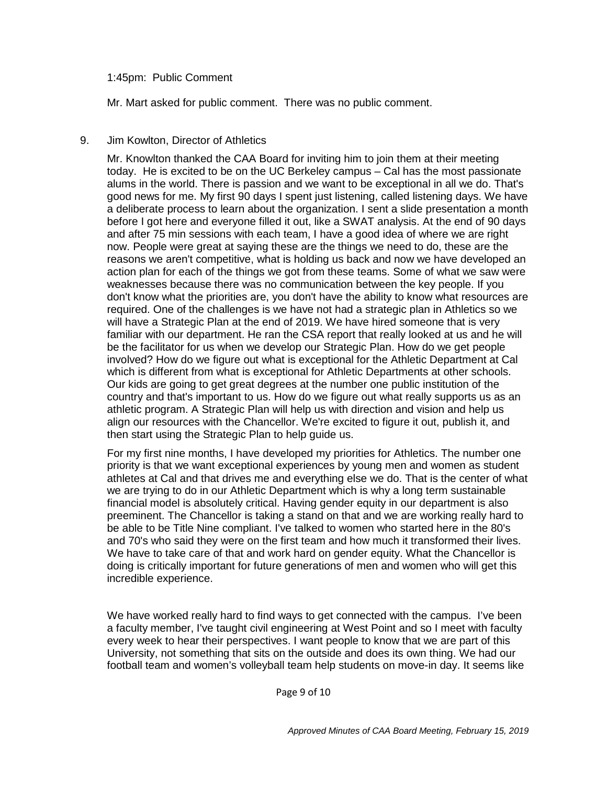#### 1:45pm: Public Comment

Mr. Mart asked for public comment. There was no public comment.

#### 9. Jim Kowlton, Director of Athletics

Mr. Knowlton thanked the CAA Board for inviting him to join them at their meeting today. He is excited to be on the UC Berkeley campus – Cal has the most passionate alums in the world. There is passion and we want to be exceptional in all we do. That's good news for me. My first 90 days I spent just listening, called listening days. We have a deliberate process to learn about the organization. I sent a slide presentation a month before I got here and everyone filled it out, like a SWAT analysis. At the end of 90 days and after 75 min sessions with each team, I have a good idea of where we are right now. People were great at saying these are the things we need to do, these are the reasons we aren't competitive, what is holding us back and now we have developed an action plan for each of the things we got from these teams. Some of what we saw were weaknesses because there was no communication between the key people. If you don't know what the priorities are, you don't have the ability to know what resources are required. One of the challenges is we have not had a strategic plan in Athletics so we will have a Strategic Plan at the end of 2019. We have hired someone that is very familiar with our department. He ran the CSA report that really looked at us and he will be the facilitator for us when we develop our Strategic Plan. How do we get people involved? How do we figure out what is exceptional for the Athletic Department at Cal which is different from what is exceptional for Athletic Departments at other schools. Our kids are going to get great degrees at the number one public institution of the country and that's important to us. How do we figure out what really supports us as an athletic program. A Strategic Plan will help us with direction and vision and help us align our resources with the Chancellor. We're excited to figure it out, publish it, and then start using the Strategic Plan to help guide us.

For my first nine months, I have developed my priorities for Athletics. The number one priority is that we want exceptional experiences by young men and women as student athletes at Cal and that drives me and everything else we do. That is the center of what we are trying to do in our Athletic Department which is why a long term sustainable financial model is absolutely critical. Having gender equity in our department is also preeminent. The Chancellor is taking a stand on that and we are working really hard to be able to be Title Nine compliant. I've talked to women who started here in the 80's and 70's who said they were on the first team and how much it transformed their lives. We have to take care of that and work hard on gender equity. What the Chancellor is doing is critically important for future generations of men and women who will get this incredible experience.

We have worked really hard to find ways to get connected with the campus. I've been a faculty member, I've taught civil engineering at West Point and so I meet with faculty every week to hear their perspectives. I want people to know that we are part of this University, not something that sits on the outside and does its own thing. We had our football team and women's volleyball team help students on move-in day. It seems like

Page 9 of 10